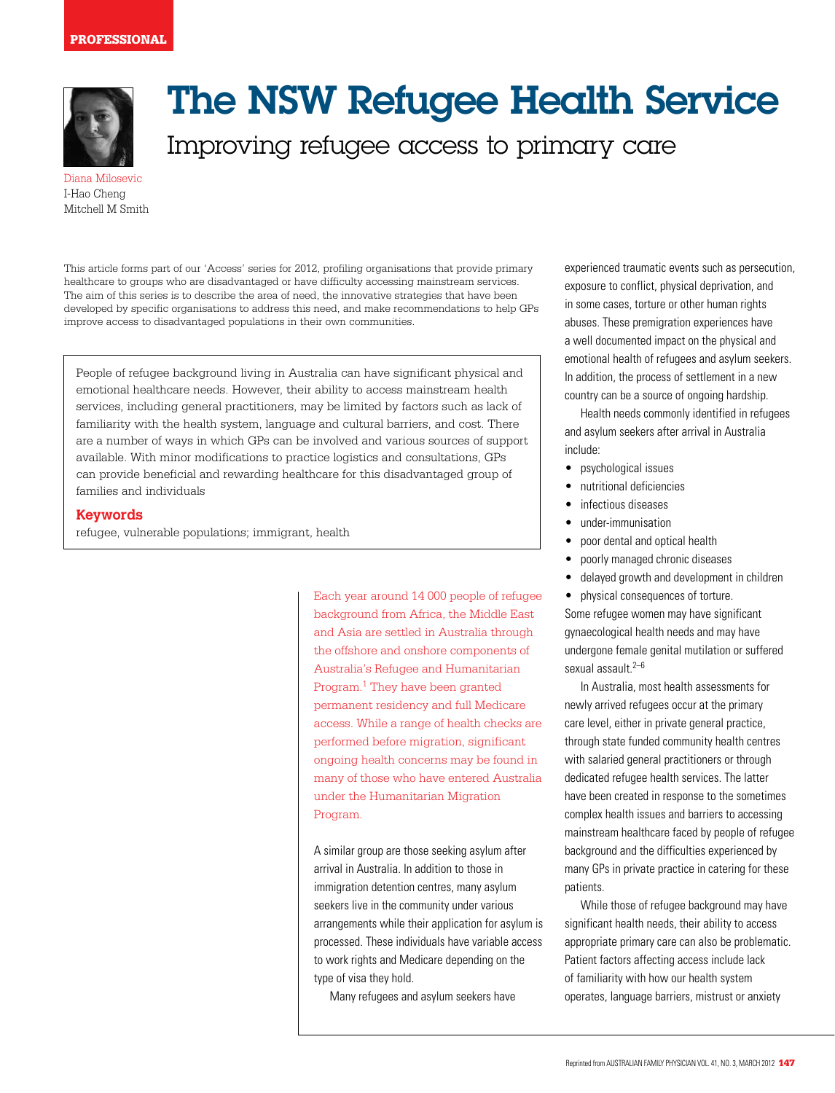

# The NSW Refugee Health Service Improving refugee access to primary care

Diana Milosevic I-Hao Cheng Mitchell M Smith

This article forms part of our 'Access' series for 2012, profiling organisations that provide primary healthcare to groups who are disadvantaged or have difficulty accessing mainstream services. The aim of this series is to describe the area of need, the innovative strategies that have been developed by specific organisations to address this need, and make recommendations to help GPs improve access to disadvantaged populations in their own communities.

People of refugee background living in Australia can have significant physical and emotional healthcare needs. However, their ability to access mainstream health services, including general practitioners, may be limited by factors such as lack of familiarity with the health system, language and cultural barriers, and cost. There are a number of ways in which GPs can be involved and various sources of support available. With minor modifications to practice logistics and consultations, GPs can provide beneficial and rewarding healthcare for this disadvantaged group of families and individuals

#### **Keywords**

refugee, vulnerable populations; immigrant, health

Each year around 14 000 people of refugee background from Africa, the Middle East and Asia are settled in Australia through the offshore and onshore components of Australia's Refugee and Humanitarian Program.<sup>1</sup> They have been granted permanent residency and full Medicare access. While a range of health checks are performed before migration, significant ongoing health concerns may be found in many of those who have entered Australia under the Humanitarian Migration Program.

A similar group are those seeking asylum after arrival in Australia. In addition to those in immigration detention centres, many asylum seekers live in the community under various arrangements while their application for asylum is processed. These individuals have variable access to work rights and Medicare depending on the type of visa they hold.

Many refugees and asylum seekers have

experienced traumatic events such as persecution, exposure to conflict, physical deprivation, and in some cases, torture or other human rights abuses. These premigration experiences have a well documented impact on the physical and emotional health of refugees and asylum seekers. In addition, the process of settlement in a new country can be a source of ongoing hardship.

Health needs commonly identified in refugees and asylum seekers after arrival in Australia include:

- psychological issues
- nutritional deficiencies
- infectious diseases
- under-immunisation
- poor dental and optical health
- poorly managed chronic diseases
- delayed growth and development in children
- physical consequences of torture.

Some refugee women may have significant gynaecological health needs and may have undergone female genital mutilation or suffered sexual assault.<sup>2-6</sup>

In Australia, most health assessments for newly arrived refugees occur at the primary care level, either in private general practice, through state funded community health centres with salaried general practitioners or through dedicated refugee health services. The latter have been created in response to the sometimes complex health issues and barriers to accessing mainstream healthcare faced by people of refugee background and the difficulties experienced by many GPs in private practice in catering for these patients.

While those of refugee background may have significant health needs, their ability to access appropriate primary care can also be problematic. Patient factors affecting access include lack of familiarity with how our health system operates, language barriers, mistrust or anxiety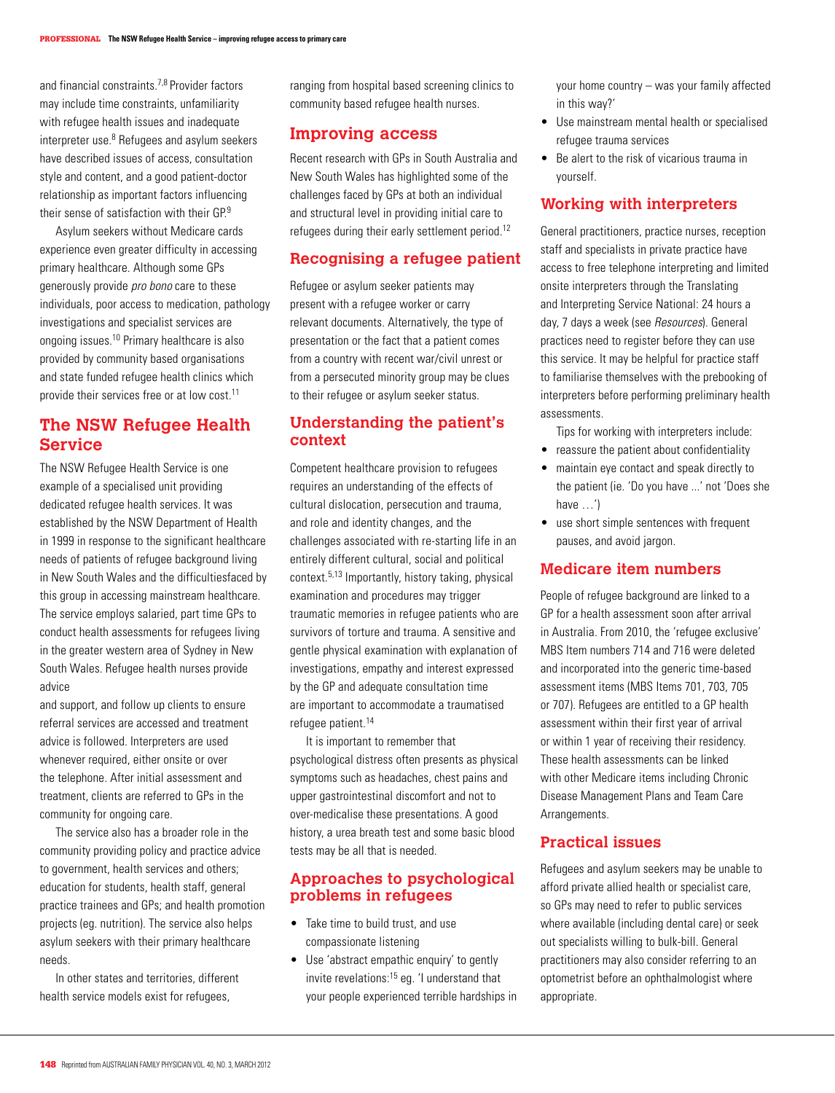and financial constraints  $7.8$  Provider factors may include time constraints, unfamiliarity with refugee health issues and inadequate interpreter use.<sup>8</sup> Refugees and asylum seekers have described issues of access, consultation style and content, and a good patient-doctor relationship as important factors influencing their sense of satisfaction with their GP.9

Asylum seekers without Medicare cards experience even greater difficulty in accessing primary healthcare. Although some GPs generously provide pro bono care to these individuals, poor access to medication, pathology investigations and specialist services are ongoing issues.10 Primary healthcare is also provided by community based organisations and state funded refugee health clinics which provide their services free or at low cost.<sup>11</sup>

## **The NSW Refugee Health Service**

The NSW Refugee Health Service is one example of a specialised unit providing dedicated refugee health services. It was established by the NSW Department of Health in 1999 in response to the significant healthcare needs of patients of refugee background living in New South Wales and the difficultiesfaced by this group in accessing mainstream healthcare. The service employs salaried, part time GPs to conduct health assessments for refugees living in the greater western area of Sydney in New South Wales. Refugee health nurses provide advice

and support, and follow up clients to ensure referral services are accessed and treatment advice is followed. Interpreters are used whenever required, either onsite or over the telephone. After initial assessment and treatment, clients are referred to GPs in the community for ongoing care.

The service also has a broader role in the community providing policy and practice advice to government, health services and others; education for students, health staff, general practice trainees and GPs; and health promotion projects (eg. nutrition). The service also helps asylum seekers with their primary healthcare needs.

In other states and territories, different health service models exist for refugees,

ranging from hospital based screening clinics to community based refugee health nurses.

## **Improving access**

Recent research with GPs in South Australia and New South Wales has highlighted some of the challenges faced by GPs at both an individual and structural level in providing initial care to refugees during their early settlement period.12

#### **Recognising a refugee patient**

Refugee or asylum seeker patients may present with a refugee worker or carry relevant documents. Alternatively, the type of presentation or the fact that a patient comes from a country with recent war/civil unrest or from a persecuted minority group may be clues to their refugee or asylum seeker status.

## **Understanding the patient's context**

Competent healthcare provision to refugees requires an understanding of the effects of cultural dislocation, persecution and trauma, and role and identity changes, and the challenges associated with re-starting life in an entirely different cultural, social and political context.5,13 Importantly, history taking, physical examination and procedures may trigger traumatic memories in refugee patients who are survivors of torture and trauma. A sensitive and gentle physical examination with explanation of investigations, empathy and interest expressed by the GP and adequate consultation time are important to accommodate a traumatised refugee patient.<sup>14</sup>

It is important to remember that psychological distress often presents as physical symptoms such as headaches, chest pains and upper gastrointestinal discomfort and not to over-medicalise these presentations. A good history, a urea breath test and some basic blood tests may be all that is needed.

## **Approaches to psychological problems in refugees**

- Take time to build trust, and use compassionate listening
- Use 'abstract empathic enquiry' to gently invite revelations:15 eg. 'I understand that your people experienced terrible hardships in

your home country – was your family affected in this way?'

- Use mainstream mental health or specialised refugee trauma services
- • Be alert to the risk of vicarious trauma in yourself.

#### **Working with interpreters**

General practitioners, practice nurses, reception staff and specialists in private practice have access to free telephone interpreting and limited onsite interpreters through the Translating and Interpreting Service National: 24 hours a day, 7 days a week (see Resources). General practices need to register before they can use this service. It may be helpful for practice staff to familiarise themselves with the prebooking of interpreters before performing preliminary health assessments.

Tips for working with interpreters include:

- reassure the patient about confidentiality
- maintain eye contact and speak directly to the patient (ie. 'Do you have ...' not 'Does she have  $\dots$ ')
- use short simple sentences with frequent pauses, and avoid jargon.

#### **Medicare item numbers**

People of refugee background are linked to a GP for a health assessment soon after arrival in Australia. From 2010, the 'refugee exclusive' MBS Item numbers 714 and 716 were deleted and incorporated into the generic time-based assessment items (MBS Items 701, 703, 705 or 707). Refugees are entitled to a GP health assessment within their first year of arrival or within 1 year of receiving their residency. These health assessments can be linked with other Medicare items including Chronic Disease Management Plans and Team Care Arrangements.

## **Practical issues**

Refugees and asylum seekers may be unable to afford private allied health or specialist care, so GPs may need to refer to public services where available (including dental care) or seek out specialists willing to bulk-bill. General practitioners may also consider referring to an optometrist before an ophthalmologist where appropriate.